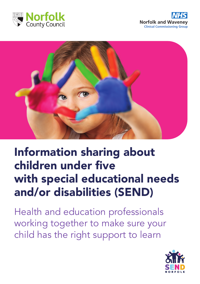





# Information sharing about children under five with special educational needs and/or disabilities (SEND)

Health and education professionals working together to make sure your child has the right support to learn

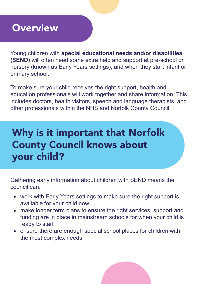#### **Overview**

Young children with **special educational needs and/or disabilities (SEND)** will often need some extra help and support at pre-school or nursery (known as Early Years settings), and when they start infant or primary school.

To make sure your child receives the right support, health and education professionals will work together and share information. This includes doctors, health visitors, speech and language therapists, and other professionals within the NHS and Norfolk County Council.

## Why is it important that Norfolk County Council knows about your child?

Gathering early information about children with SEND means the council can:

- work with Early Years settings to make sure the right support is available for your child now
- make longer term plans to ensure the right services, support and funding are in place in mainstream schools for when your child is ready to start
- ensure there are enough special school places for children with the most complex needs.

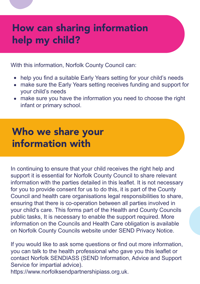#### How can sharing information help my child?

With this information, Norfolk County Council can:

- help you find a suitable Early Years setting for your child's needs
- make sure the Early Years setting receives funding and support for your child's needs
- make sure you have the information you need to choose the right infant or primary school.

### Who we share your information with

In continuing to ensure that your child receives the right help and support it is essential for Norfolk County Council to share relevant information with the parties detailed in this leaflet. It is not necessary for you to provide consent for us to do this, it is part of the County Council and health care organisations legal responsibilities to share, ensuring that there is co-operation between all parties involved in your child's care. This forms part of the Health and County Councils public tasks, It is necessary to enable the support required. More information on the Councils and Health Care obligation is available on Norfolk County Councils website under SEND Privacy Notice.

If you would like to ask some questions or find out more information, you can talk to the health professional who gave you this leaflet or contact Norfolk SENDIASS (SEND Information, Advice and Support Service for impartial advice).

https://www.norfolksendpartnershipiass.org.uk.